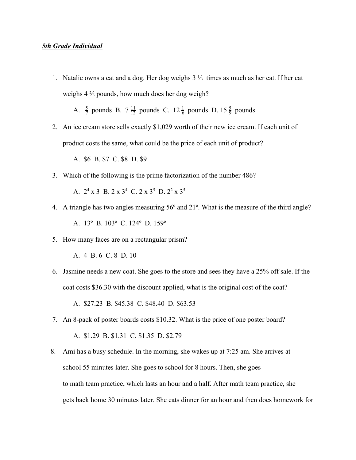## *5th Grade Individual*

1. Natalie owns a cat and a dog. Her dog weighs 3 ⅓ times as much as her cat. If her cat weighs 4 ⅔ pounds, how much does her dog weigh?

A.  $\frac{5}{7}$  pounds B.  $7 \frac{11}{12}$  pounds C.  $12 \frac{1}{6}$  pounds D.  $15 \frac{5}{9}$  pounds 12 11 6 1 9 5

 2. An ice cream store sells exactly \$1,029 worth of their new ice cream. If each unit of product costs the same, what could be the price of each unit of product?

A. \$6 B. \$7 C. \$8 D. \$9

3. Which of the following is the prime factorization of the number 486?

A.  $2^4 \times 3$  B.  $2 \times 3^4$  C.  $2 \times 3^5$  D.  $2^2 \times 3^5$ 

- 4. A triangle has two angles measuring 56º and 21º. What is the measure of the third angle? A. 13º B. 103º C. 124º D. 159º
- 5. How many faces are on a rectangular prism?

A. 4 B. 6 C. 8 D. 10

 6. Jasmine needs a new coat. She goes to the store and sees they have a 25% off sale. If the coat costs \$36.30 with the discount applied, what is the original cost of the coat?

A. \$27.23 B. \$45.38 C. \$48.40 D. \$63.53

- 7. An 8-pack of poster boards costs \$10.32. What is the price of one poster board? A. \$1.29 B. \$1.31 C. \$1.35 D. \$2.79
- 8. Ami has a busy schedule. In the morning, she wakes up at 7:25 am. She arrives at school 55 minutes later. She goes to school for 8 hours. Then, she goes to math team practice, which lasts an hour and a half. After math team practice, she gets back home 30 minutes later. She eats dinner for an hour and then does homework for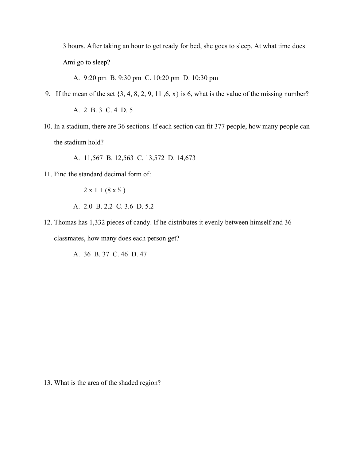3 hours. After taking an hour to get ready for bed, she goes to sleep. At what time does Ami go to sleep?

A. 9:20 pm B. 9:30 pm C. 10:20 pm D. 10:30 pm

9. If the mean of the set  $\{3, 4, 8, 2, 9, 11, 6, x\}$  is 6, what is the value of the missing number?

A. 2 B. 3 C. 4 D. 5

 10. In a stadium, there are 36 sections. If each section can fit 377 people, how many people can the stadium hold?

A. 11,567 B. 12,563 C. 13,572 D. 14,673

11. Find the standard decimal form of:

 $2 x 1 + (8 x 1/6)$ A. 2.0 B. 2.2 C. 3.6 D. 5.2

 12. Thomas has 1,332 pieces of candy. If he distributes it evenly between himself and 36 classmates, how many does each person get?

A. 36 B. 37 C. 46 D. 47

13. What is the area of the shaded region?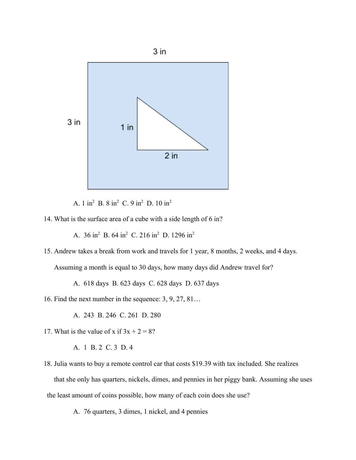

A. 1 in<sup>2</sup> B. 8 in<sup>2</sup> C. 9 in<sup>2</sup> D. 10 in<sup>2</sup>

14. What is the surface area of a cube with a side length of 6 in?

A. 36 in<sup>2</sup> B. 64 in<sup>2</sup> C. 216 in<sup>2</sup> D. 1296 in<sup>2</sup>

15. Andrew takes a break from work and travels for 1 year, 8 months, 2 weeks, and 4 days.

Assuming a month is equal to 30 days, how many days did Andrew travel for?

A. 618 days B. 623 days C. 628 days D. 637 days

16. Find the next number in the sequence: 3, 9, 27, 81…

A. 243 B. 246 C. 261 D. 280

17. What is the value of x if  $3x + 2 = 8$ ?

A. 1 B. 2 C. 3 D. 4

18. Julia wants to buy a remote control car that costs \$19.39 with tax included. She realizes

 that she only has quarters, nickels, dimes, and pennies in her piggy bank. Assuming she uses the least amount of coins possible, how many of each coin does she use?

A. 76 quarters, 3 dimes, 1 nickel, and 4 pennies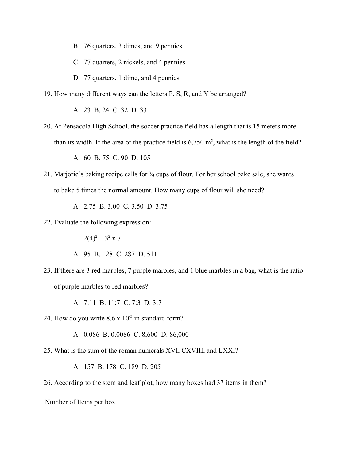- B. 76 quarters, 3 dimes, and 9 pennies
- C. 77 quarters, 2 nickels, and 4 pennies
- D. 77 quarters, 1 dime, and 4 pennies
- 19. How many different ways can the letters P, S, R, and Y be arranged?

A. 23 B. 24 C. 32 D. 33

 20. At Pensacola High School, the soccer practice field has a length that is 15 meters more than its width. If the area of the practice field is  $6,750$  m<sup>2</sup>, what is the length of the field?

A. 60 B. 75 C. 90 D. 105

 21. Marjorie's baking recipe calls for ¾ cups of flour. For her school bake sale, she wants to bake 5 times the normal amount. How many cups of flour will she need?

A. 2.75 B. 3.00 C. 3.50 D. 3.75

22. Evaluate the following expression:

 $2(4)^2 + 3^2 \times 7$ 

- A. 95 B. 128 C. 287 D. 511
- 23. If there are 3 red marbles, 7 purple marbles, and 1 blue marbles in a bag, what is the ratio of purple marbles to red marbles?

A. 7:11 B. 11:7 C. 7:3 D. 3:7

24. How do you write  $8.6 \times 10^{-3}$  in standard form?

A. 0.086 B. 0.0086 C. 8,600 D. 86,000

25. What is the sum of the roman numerals XVI, CXVIII, and LXXI?

A. 157 B. 178 C. 189 D. 205

26. According to the stem and leaf plot, how many boxes had 37 items in them?

Number of Items per box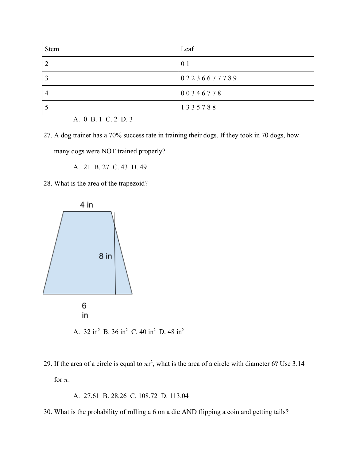| <b>Stem</b> | Leaf           |
|-------------|----------------|
|             | 0 <sub>1</sub> |
|             | 02236677789    |
| 4           | 00346778       |
|             | 1335788        |

A. 0 B. 1 C. 2 D. 3

 27. A dog trainer has a 70% success rate in training their dogs. If they took in 70 dogs, how many dogs were NOT trained properly?

A. 21 B. 27 C. 43 D. 49

28. What is the area of the trapezoid?



29. If the area of a circle is equal to  $\pi r^2$ , what is the area of a circle with diameter 6? Use 3.14

for  $\pi$ .

A. 27.61 B. 28.26 C. 108.72 D. 113.04

30. What is the probability of rolling a 6 on a die AND flipping a coin and getting tails?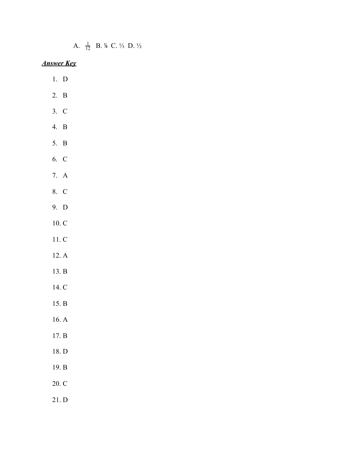A.  $\frac{1}{12}$  $\frac{1}{2}$  B. <sup>1</sup>/<sub>8</sub> C. <sup>1</sup>/<sub>3</sub> D. <sup>1</sup>/<sub>2</sub>

*Answer Key*

- 1. D
- 2. B
- 3. C
- 4. B
- 5. B
- 6. C
- 7. A
- 8. C
- 9. D
- 10. C
- 11. C
- 12. A
- 13. B
- 14. C
- 15. B
- 16. A
- 17. B
- 18. D
- 19. B
- 20. C
- 21. D